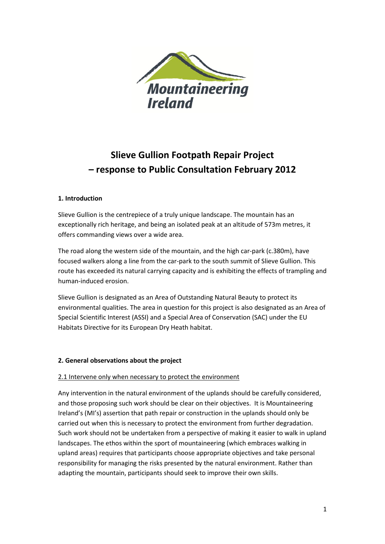

# **Slieve Gullion Footpath Repair Project – response to Public Consultation February 2012**

# **1. Introduction**

Slieve Gullion is the centrepiece of a truly unique landscape. The mountain has an exceptionally rich heritage, and being an isolated peak at an altitude of 573m metres, it offers commanding views over a wide area.

The road along the western side of the mountain, and the high car-park (c.380m), have focused walkers along a line from the car-park to the south summit of Slieve Gullion. This route has exceeded its natural carrying capacity and is exhibiting the effects of trampling and human-induced erosion.

Slieve Gullion is designated as an Area of Outstanding Natural Beauty to protect its environmental qualities. The area in question for this project is also designated as an Area of Special Scientific Interest (ASSI) and a Special Area of Conservation (SAC) under the EU Habitats Directive for its European Dry Heath habitat.

#### **2. General observations about the project**

#### 2.1 Intervene only when necessary to protect the environment

Any intervention in the natural environment of the uplands should be carefully considered, and those proposing such work should be clear on their objectives. It is Mountaineering Ireland's (MI's) assertion that path repair or construction in the uplands should only be carried out when this is necessary to protect the environment from further degradation. Such work should not be undertaken from a perspective of making it easier to walk in upland landscapes. The ethos within the sport of mountaineering (which embraces walking in upland areas) requires that participants choose appropriate objectives and take personal responsibility for managing the risks presented by the natural environment. Rather than adapting the mountain, participants should seek to improve their own skills.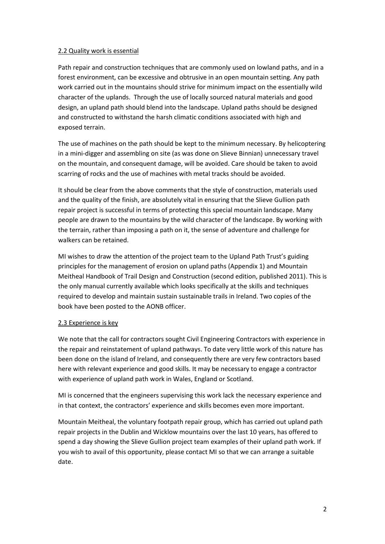## 2.2 Quality work is essential

Path repair and construction techniques that are commonly used on lowland paths, and in a forest environment, can be excessive and obtrusive in an open mountain setting. Any path work carried out in the mountains should strive for minimum impact on the essentially wild character of the uplands. Through the use of locally sourced natural materials and good design, an upland path should blend into the landscape. Upland paths should be designed and constructed to withstand the harsh climatic conditions associated with high and exposed terrain.

The use of machines on the path should be kept to the minimum necessary. By helicoptering in a mini-digger and assembling on site (as was done on Slieve Binnian) unnecessary travel on the mountain, and consequent damage, will be avoided. Care should be taken to avoid scarring of rocks and the use of machines with metal tracks should be avoided.

It should be clear from the above comments that the style of construction, materials used and the quality of the finish, are absolutely vital in ensuring that the Slieve Gullion path repair project is successful in terms of protecting this special mountain landscape. Many people are drawn to the mountains by the wild character of the landscape. By working with the terrain, rather than imposing a path on it, the sense of adventure and challenge for walkers can be retained.

MI wishes to draw the attention of the project team to the Upland Path Trust's guiding principles for the management of erosion on upland paths (Appendix 1) and Mountain Meitheal Handbook of Trail Design and Construction (second edition, published 2011). This is the only manual currently available which looks specifically at the skills and techniques required to develop and maintain sustain sustainable trails in Ireland. Two copies of the book have been posted to the AONB officer.

# 2.3 Experience is key

We note that the call for contractors sought Civil Engineering Contractors with experience in the repair and reinstatement of upland pathways. To date very little work of this nature has been done on the island of Ireland, and consequently there are very few contractors based here with relevant experience and good skills. It may be necessary to engage a contractor with experience of upland path work in Wales, England or Scotland.

MI is concerned that the engineers supervising this work lack the necessary experience and in that context, the contractors' experience and skills becomes even more important.

Mountain Meitheal, the voluntary footpath repair group, which has carried out upland path repair projects in the Dublin and Wicklow mountains over the last 10 years, has offered to spend a day showing the Slieve Gullion project team examples of their upland path work. If you wish to avail of this opportunity, please contact MI so that we can arrange a suitable date.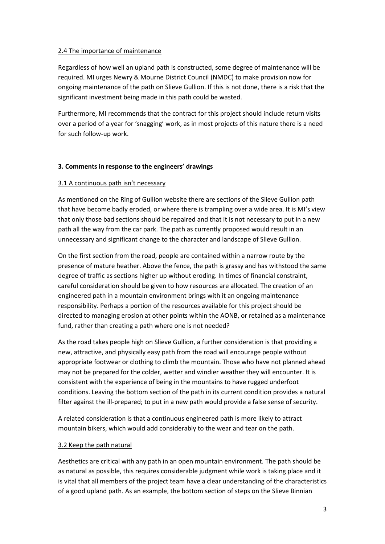## 2.4 The importance of maintenance

Regardless of how well an upland path is constructed, some degree of maintenance will be required. MI urges Newry & Mourne District Council (NMDC) to make provision now for ongoing maintenance of the path on Slieve Gullion. If this is not done, there is a risk that the significant investment being made in this path could be wasted.

Furthermore, MI recommends that the contract for this project should include return visits over a period of a year for 'snagging' work, as in most projects of this nature there is a need for such follow-up work.

# **3. Comments in response to the engineers' drawings**

## 3.1 A continuous path isn't necessary

As mentioned on the Ring of Gullion website there are sections of the Slieve Gullion path that have become badly eroded, or where there is trampling over a wide area. It is MI's view that only those bad sections should be repaired and that it is not necessary to put in a new path all the way from the car park. The path as currently proposed would result in an unnecessary and significant change to the character and landscape of Slieve Gullion.

On the first section from the road, people are contained within a narrow route by the presence of mature heather. Above the fence, the path is grassy and has withstood the same degree of traffic as sections higher up without eroding. In times of financial constraint, careful consideration should be given to how resources are allocated. The creation of an engineered path in a mountain environment brings with it an ongoing maintenance responsibility. Perhaps a portion of the resources available for this project should be directed to managing erosion at other points within the AONB, or retained as a maintenance fund, rather than creating a path where one is not needed?

As the road takes people high on Slieve Gullion, a further consideration is that providing a new, attractive, and physically easy path from the road will encourage people without appropriate footwear or clothing to climb the mountain. Those who have not planned ahead may not be prepared for the colder, wetter and windier weather they will encounter. It is consistent with the experience of being in the mountains to have rugged underfoot conditions. Leaving the bottom section of the path in its current condition provides a natural filter against the ill-prepared; to put in a new path would provide a false sense of security.

A related consideration is that a continuous engineered path is more likely to attract mountain bikers, which would add considerably to the wear and tear on the path.

#### 3.2 Keep the path natural

Aesthetics are critical with any path in an open mountain environment. The path should be as natural as possible, this requires considerable judgment while work is taking place and it is vital that all members of the project team have a clear understanding of the characteristics of a good upland path. As an example, the bottom section of steps on the Slieve Binnian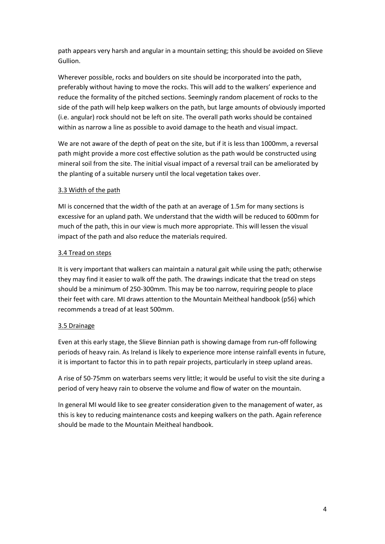path appears very harsh and angular in a mountain setting; this should be avoided on Slieve Gullion.

Wherever possible, rocks and boulders on site should be incorporated into the path, preferably without having to move the rocks. This will add to the walkers' experience and reduce the formality of the pitched sections. Seemingly random placement of rocks to the side of the path will help keep walkers on the path, but large amounts of obviously imported (i.e. angular) rock should not be left on site. The overall path works should be contained within as narrow a line as possible to avoid damage to the heath and visual impact.

We are not aware of the depth of peat on the site, but if it is less than 1000mm, a reversal path might provide a more cost effective solution as the path would be constructed using mineral soil from the site. The initial visual impact of a reversal trail can be ameliorated by the planting of a suitable nursery until the local vegetation takes over.

# 3.3 Width of the path

MI is concerned that the width of the path at an average of 1.5m for many sections is excessive for an upland path. We understand that the width will be reduced to 600mm for much of the path, this in our view is much more appropriate. This will lessen the visual impact of the path and also reduce the materials required.

# 3.4 Tread on steps

It is very important that walkers can maintain a natural gait while using the path; otherwise they may find it easier to walk off the path. The drawings indicate that the tread on steps should be a minimum of 250-300mm. This may be too narrow, requiring people to place their feet with care. MI draws attention to the Mountain Meitheal handbook (p56) which recommends a tread of at least 500mm.

# 3.5 Drainage

Even at this early stage, the Slieve Binnian path is showing damage from run-off following periods of heavy rain. As Ireland is likely to experience more intense rainfall events in future, it is important to factor this in to path repair projects, particularly in steep upland areas.

A rise of 50-75mm on waterbars seems very little; it would be useful to visit the site during a period of very heavy rain to observe the volume and flow of water on the mountain.

In general MI would like to see greater consideration given to the management of water, as this is key to reducing maintenance costs and keeping walkers on the path. Again reference should be made to the Mountain Meitheal handbook.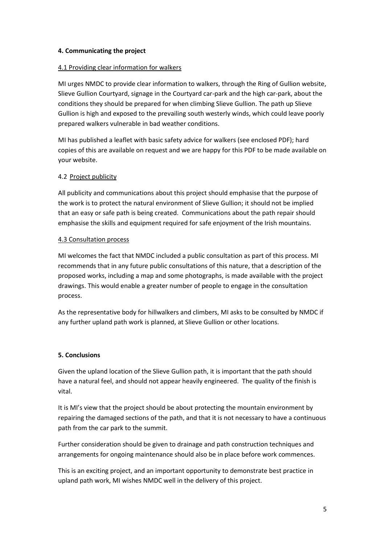## **4. Communicating the project**

## 4.1 Providing clear information for walkers

MI urges NMDC to provide clear information to walkers, through the Ring of Gullion website, Slieve Gullion Courtyard, signage in the Courtyard car-park and the high car-park, about the conditions they should be prepared for when climbing Slieve Gullion. The path up Slieve Gullion is high and exposed to the prevailing south westerly winds, which could leave poorly prepared walkers vulnerable in bad weather conditions.

MI has published a leaflet with basic safety advice for walkers (see enclosed PDF); hard copies of this are available on request and we are happy for this PDF to be made available on your website.

## 4.2 Project publicity

All publicity and communications about this project should emphasise that the purpose of the work is to protect the natural environment of Slieve Gullion; it should not be implied that an easy or safe path is being created. Communications about the path repair should emphasise the skills and equipment required for safe enjoyment of the Irish mountains.

#### 4.3 Consultation process

MI welcomes the fact that NMDC included a public consultation as part of this process. MI recommends that in any future public consultations of this nature, that a description of the proposed works, including a map and some photographs, is made available with the project drawings. This would enable a greater number of people to engage in the consultation process.

As the representative body for hillwalkers and climbers, MI asks to be consulted by NMDC if any further upland path work is planned, at Slieve Gullion or other locations.

# **5. Conclusions**

Given the upland location of the Slieve Gullion path, it is important that the path should have a natural feel, and should not appear heavily engineered. The quality of the finish is vital.

It is MI's view that the project should be about protecting the mountain environment by repairing the damaged sections of the path, and that it is not necessary to have a continuous path from the car park to the summit.

Further consideration should be given to drainage and path construction techniques and arrangements for ongoing maintenance should also be in place before work commences.

This is an exciting project, and an important opportunity to demonstrate best practice in upland path work, MI wishes NMDC well in the delivery of this project.